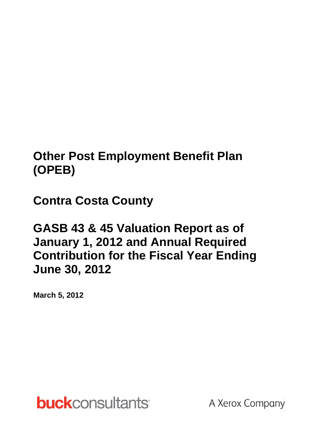# **Other Post Employment Benefit Plan (OPEB)**

**Contra Costa County**

**GASB 43 & 45 Valuation Report as of January 1, 2012 and Annual Required Contribution for the Fiscal Year Ending June 30, 2012**

**March 5, 2012**

**buck**consultants

A Xerox Company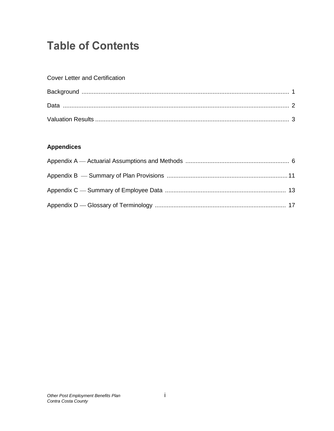# **Table of Contents**

### **Cover Letter and Certification**

### **Appendices**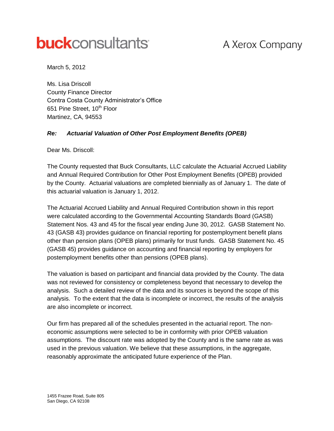# **buck**consultants

# A Xerox Company

March 5, 2012

Ms. Lisa Driscoll County Finance Director Contra Costa County Administrator's Office 651 Pine Street, 10<sup>th</sup> Floor Martinez, CA, 94553

#### *Re: Actuarial Valuation of Other Post Employment Benefits (OPEB)*

Dear Ms. Driscoll:

The County requested that Buck Consultants, LLC calculate the Actuarial Accrued Liability and Annual Required Contribution for Other Post Employment Benefits (OPEB) provided by the County. Actuarial valuations are completed biennially as of January 1. The date of this actuarial valuation is January 1, 2012.

The Actuarial Accrued Liability and Annual Required Contribution shown in this report were calculated according to the Governmental Accounting Standards Board (GASB) Statement Nos. 43 and 45 for the fiscal year ending June 30, 2012. GASB Statement No. 43 (GASB 43) provides guidance on financial reporting for postemployment benefit plans other than pension plans (OPEB plans) primarily for trust funds. GASB Statement No. 45 (GASB 45) provides guidance on accounting and financial reporting by employers for postemployment benefits other than pensions (OPEB plans).

The valuation is based on participant and financial data provided by the County. The data was not reviewed for consistency or completeness beyond that necessary to develop the analysis. Such a detailed review of the data and its sources is beyond the scope of this analysis. To the extent that the data is incomplete or incorrect, the results of the analysis are also incomplete or incorrect.

Our firm has prepared all of the schedules presented in the actuarial report. The noneconomic assumptions were selected to be in conformity with prior OPEB valuation assumptions. The discount rate was adopted by the County and is the same rate as was used in the previous valuation. We believe that these assumptions, in the aggregate, reasonably approximate the anticipated future experience of the Plan.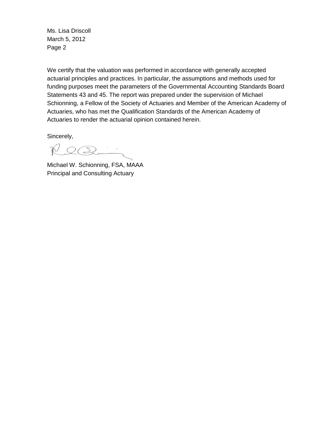Ms. Lisa Driscoll March 5, 2012 Page 2

We certify that the valuation was performed in accordance with generally accepted actuarial principles and practices. In particular, the assumptions and methods used for funding purposes meet the parameters of the Governmental Accounting Standards Board Statements 43 and 45. The report was prepared under the supervision of Michael Schionning, a Fellow of the Society of Actuaries and Member of the American Academy of Actuaries, who has met the Qualification Standards of the American Academy of Actuaries to render the actuarial opinion contained herein.

Sincerely,

 $RQQ$ 

Michael W. Schionning, FSA, MAAA Principal and Consulting Actuary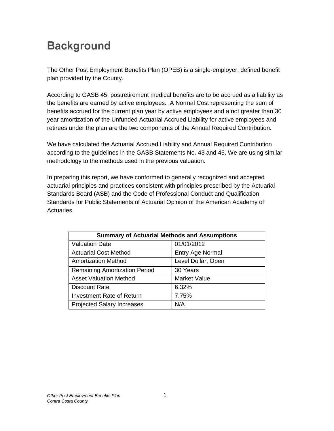# **Background**

The Other Post Employment Benefits Plan (OPEB) is a single-employer, defined benefit plan provided by the County.

According to GASB 45, postretirement medical benefits are to be accrued as a liability as the benefits are earned by active employees. A Normal Cost representing the sum of benefits accrued for the current plan year by active employees and a not greater than 30 year amortization of the Unfunded Actuarial Accrued Liability for active employees and retirees under the plan are the two components of the Annual Required Contribution.

We have calculated the Actuarial Accrued Liability and Annual Required Contribution according to the guidelines in the GASB Statements No. 43 and 45. We are using similar methodology to the methods used in the previous valuation.

In preparing this report, we have conformed to generally recognized and accepted actuarial principles and practices consistent with principles prescribed by the Actuarial Standards Board (ASB) and the Code of Professional Conduct and Qualification Standards for Public Statements of Actuarial Opinion of the American Academy of Actuaries.

| <b>Summary of Actuarial Methods and Assumptions</b> |                     |  |  |
|-----------------------------------------------------|---------------------|--|--|
| <b>Valuation Date</b>                               | 01/01/2012          |  |  |
| <b>Actuarial Cost Method</b>                        | Entry Age Normal    |  |  |
| <b>Amortization Method</b>                          | Level Dollar, Open  |  |  |
| <b>Remaining Amortization Period</b>                | 30 Years            |  |  |
| <b>Asset Valuation Method</b>                       | <b>Market Value</b> |  |  |
| <b>Discount Rate</b>                                | 6.32%               |  |  |
| <b>Investment Rate of Return</b>                    | 7.75%               |  |  |
| <b>Projected Salary Increases</b>                   | N/A                 |  |  |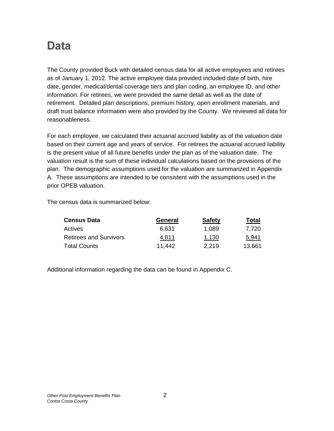# **Data**

The County provided Buck with detailed census data for all active employees and retirees as of January 1, 2012. The active employee data provided included date of birth, hire date, gender, medical/dental coverage tiers and plan coding, an employee ID, and other information. For retirees, we were provided the same detail as well as the date of retirement. Detailed plan descriptions, premium history, open enrollment materials, and draft trust balance information were also provided by the County. We reviewed all data for reasonableness.

For each employee, we calculated their actuarial accrued liability as of the valuation date based on their current age and years of service. For retirees the actuarial accrued liability is the present value of all future benefits under the plan as of the valuation date. The valuation result is the sum of these individual calculations based on the provisions of the plan. The demographic assumptions used for the valuation are summarized in Appendix A. These assumptions are intended to be consistent with the assumptions used in the prior OPEB valuation.

The census data is summarized below:

| <b>Census Data</b>            | General | <b>Safety</b> | Total  |
|-------------------------------|---------|---------------|--------|
| Actives                       | 6.631   | 1,089         | 7,720  |
| <b>Retirees and Survivors</b> | 4.811   | 1,130         | 5.941  |
| <b>Total Counts</b>           | 11,442  | 2,219         | 13,661 |

Additional information regarding the data can be found in Appendix C.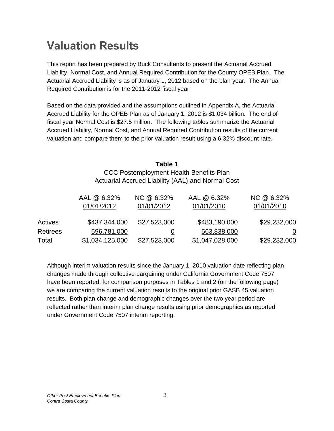# **Valuation Results**

This report has been prepared by Buck Consultants to present the Actuarial Accrued Liability, Normal Cost, and Annual Required Contribution for the County OPEB Plan. The Actuarial Accrued Liability is as of January 1, 2012 based on the plan year. The Annual Required Contribution is for the 2011-2012 fiscal year.

Based on the data provided and the assumptions outlined in Appendix A, the Actuarial Accrued Liability for the OPEB Plan as of January 1, 2012 is \$1.034 billion. The end of fiscal year Normal Cost is \$27.5 million. The following tables summarize the Actuarial Accrued Liability, Normal Cost, and Annual Required Contribution results of the current valuation and compare them to the prior valuation result using a 6.32% discount rate.

### **Table 1** CCC Postemployment Health Benefits Plan Actuarial Accrued Liability (AAL) and Normal Cost

|                 | AAL @ 6.32%<br>01/01/2012 | NC @ 6.32%<br>01/01/2012 | AAL @ 6.32%<br>01/01/2010 | NC @ 6.32%<br>01/01/2010 |
|-----------------|---------------------------|--------------------------|---------------------------|--------------------------|
| Actives         | \$437,344,000             | \$27,523,000             | \$483,190,000             | \$29,232,000             |
| <b>Retirees</b> | 596,781,000               |                          | 563,838,000               | $\mathsf{U}$             |
| Total           | \$1,034,125,000           | \$27,523,000             | \$1,047,028,000           | \$29,232,000             |

Although interim valuation results since the January 1, 2010 valuation date reflecting plan changes made through collective bargaining under California Government Code 7507 have been reported, for comparison purposes in Tables 1 and 2 (on the following page) we are comparing the current valuation results to the original prior GASB 45 valuation results. Both plan change and demographic changes over the two year period are reflected rather than interim plan change results using prior demographics as reported under Government Code 7507 interim reporting.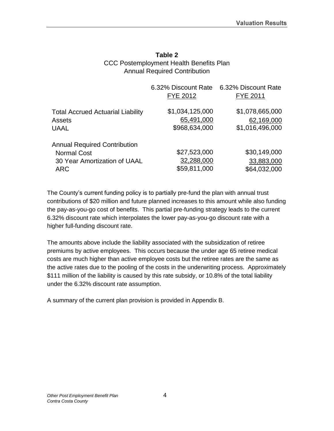### **Table 2** CCC Postemployment Health Benefits Plan Annual Required Contribution

|                                          | 6.32% Discount Rate<br><b>FYE 2012</b> | 6.32% Discount Rate<br><b>FYE 2011</b> |
|------------------------------------------|----------------------------------------|----------------------------------------|
| <b>Total Accrued Actuarial Liability</b> | \$1,034,125,000                        | \$1,078,665,000                        |
| <b>Assets</b>                            | 65,491,000                             | 62,169,000                             |
| <b>UAAL</b>                              | \$968,634,000                          | \$1,016,496,000                        |
| <b>Annual Required Contribution</b>      |                                        |                                        |
| <b>Normal Cost</b>                       | \$27,523,000                           | \$30,149,000                           |
| 30 Year Amortization of UAAL             | 32,288,000                             | 33,883,000                             |
| <b>ARC</b>                               | \$59,811,000                           | \$64,032,000                           |

The County's current funding policy is to partially pre-fund the plan with annual trust contributions of \$20 million and future planned increases to this amount while also funding the pay-as-you-go cost of benefits. This partial pre-funding strategy leads to the current 6.32% discount rate which interpolates the lower pay-as-you-go discount rate with a higher full-funding discount rate.

The amounts above include the liability associated with the subsidization of retiree premiums by active employees. This occurs because the under age 65 retiree medical costs are much higher than active employee costs but the retiree rates are the same as the active rates due to the pooling of the costs in the underwriting process. Approximately \$111 million of the liability is caused by this rate subsidy, or 10.8% of the total liability under the 6.32% discount rate assumption.

A summary of the current plan provision is provided in Appendix B.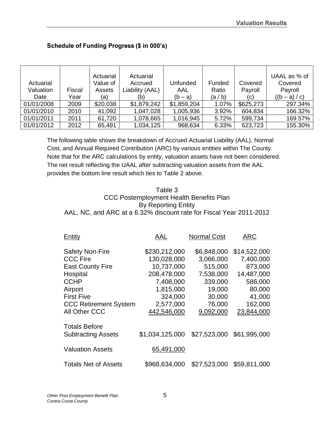|            |        | Actuarial | Actuarial       |             |         |           | UAAL as % of    |
|------------|--------|-----------|-----------------|-------------|---------|-----------|-----------------|
| Actuarial  |        | Value of  | Accrued         | Unfunded    | Funded  | Covered   | Covered         |
| Valuation  | Fiscal | Assets    | Liability (AAL) | AAL         | Ratio   | Payroll   | Payroll         |
| Date       | Year   | (a)       | (b)             | $(b - a)$   | (a / b) | (c)       | $((b - a) / c)$ |
| 01/01/2008 | 2009   | \$20,038  | \$1,879,242     | \$1,859,204 | 1.07%   | \$625,273 | 297.34%         |
| 01/01/2010 | 2010   | 41,092    | 1,047,028       | 1,005,936   | 3.92%   | 604,834   | 166.32%         |
| 01/01/2011 | 2011   | 61,720    | 1,078,665       | 1,016,945   | 5.72%   | 599,734   | 169.57%         |
| 01/01/2012 | 2012   | 65,491    | 1,034,125       | 968,634     | 6.33%   | 623,723   | 155.30%         |

### Schedule of Funding Progress (\$ in 000's)

The following table shows the breakdown of Accrued Actuarial Liability (AAL), Normal Cost, and Annual Required Contribution (ARC) by various entities within The County. Note that for the ARC calculations by entity, valuation assets have not been considered. The net result reflecting the UAAL after subtracting valuation assets from the AAL provides the bottom line result which ties to Table 2 above.

#### Table 3 CCC Postemployment Health Benefits Plan By Reporting Entity AAL, NC, and ARC at a 6.32% discount rate for Fiscal Year 2011-2012

| Entity                       | AAL             | <b>Normal Cost</b> | <b>ARC</b>   |
|------------------------------|-----------------|--------------------|--------------|
| <b>Safety Non-Fire</b>       | \$230,212,000   | \$6,848,000        | \$14,522,000 |
| <b>CCC Fire</b>              | 130,028,000     | 3,066,000          | 7,400,000    |
| <b>East County Fire</b>      | 10,737,000      | 515,000            | 873,000      |
| Hospital                     | 208,478,000     | 7,538,000          | 14,487,000   |
| <b>CCHP</b>                  | 7,408,000       | 339,000            | 586,000      |
| Airport                      | 1,815,000       | 19,000             | 80,000       |
| <b>First Five</b>            | 324,000         | 30,000             | 41,000       |
| <b>CCC Retirement System</b> | 2,577,000       | 76,000             | 162,000      |
| All Other CCC                | 442,546,000     | 9,092,000          | 23,844,000   |
| <b>Totals Before</b>         |                 |                    |              |
| <b>Subtracting Assets</b>    | \$1,034,125,000 | \$27,523,000       | \$61,995,000 |
| <b>Valuation Assets</b>      | 65,491,000      |                    |              |
| <b>Totals Net of Assets</b>  | \$968,634,000   | \$27,523,000       | \$59,811,000 |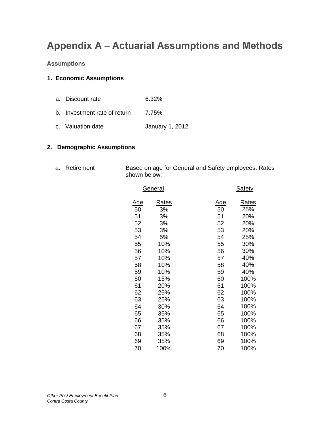## **Appendix A - Actuarial Assumptions and Methods**

#### **Assumptions**

#### **1. Economic Assumptions**

 a. Discount rate 6.32% b. Investment rate of return 7.75% c. Valuation date **January 1, 2012** 

#### **2. Demographic Assumptions**

a. Retirement Based on age for General and Safety employees. Rates shown below:

| <u>General</u> |              |            | <u>Safety</u> |
|----------------|--------------|------------|---------------|
| <u>Age</u>     | <u>Rates</u> | <u>Age</u> | <u>Rates</u>  |
| 50             | 3%           | 50         | 25%           |
| 51             | 3%           | 51         | 20%           |
| 52             | 3%           | 52         | 20%           |
| 53             | 3%           | 53         | 20%           |
| 54             | 5%           | 54         | 25%           |
| 55             | 10%          | 55         | 30%           |
| 56             | 10%          | 56         | 30%           |
| 57             | 10%          | 57         | 40%           |
| 58             | 10%          | 58         | 40%           |
| 59             | 10%          | 59         | 40%           |
| 60             | 15%          | 60         | 100%          |
| 61             | 20%          | 61         | 100%          |
| 62             | 25%          | 62         | 100%          |
| 63             | 25%          | 63         | 100%          |
| 64             | 30%          | 64         | 100%          |
| 65             | 35%          | 65         | 100%          |
| 66             | 35%          | 66         | 100%          |
| 67             | 35%          | 67         | 100%          |
| 68             | 35%          | 68         | 100%          |
| 69             | 35%          | 69         | 100%          |
| 70             | 100%         | 70         | 100%          |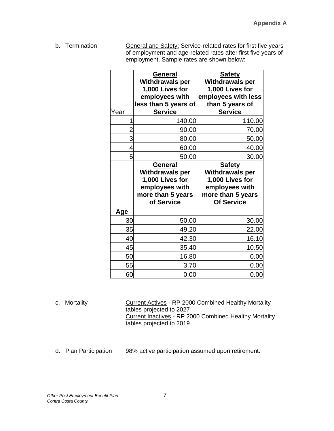b. Termination **General and Safety:** Service-related rates for first five years of employment and age-related rates after first five years of employment. Sample rates are shown below:

| Year           | General<br><b>Withdrawals per</b><br>1,000 Lives for<br>employees with<br>less than 5 years of<br><b>Service</b> | <b>Safety</b><br><b>Withdrawals per</b><br>1,000 Lives for<br>employees with less<br>than 5 years of<br><b>Service</b> |
|----------------|------------------------------------------------------------------------------------------------------------------|------------------------------------------------------------------------------------------------------------------------|
| 1              | 140.00                                                                                                           | 110.00                                                                                                                 |
| $\overline{2}$ | 90.00                                                                                                            | 70.00                                                                                                                  |
| 3              | 80.00                                                                                                            | 50.00                                                                                                                  |
| 4              | 60.00                                                                                                            | 40.00                                                                                                                  |
| 5              | 50.00                                                                                                            | 30.00                                                                                                                  |
|                | General<br><b>Withdrawals per</b><br>1,000 Lives for<br>employees with<br>more than 5 years<br>of Service        | <b>Safety</b><br><b>Withdrawals per</b><br>1,000 Lives for<br>employees with<br>more than 5 years<br><b>Of Service</b> |
| Age            |                                                                                                                  |                                                                                                                        |
| 30             |                                                                                                                  |                                                                                                                        |
|                | 50.00                                                                                                            | 30.00                                                                                                                  |
| 35             | 49.20                                                                                                            | 22.00                                                                                                                  |
| 40             | 42.30                                                                                                            | 16.10                                                                                                                  |
| 45             | 35.40                                                                                                            | 10.50                                                                                                                  |
| 50             | 16.80                                                                                                            | 0.00                                                                                                                   |
| 55             | 3.70                                                                                                             | 0.00                                                                                                                   |

| c. Mortality | Current Actives - RP 2000 Combined Healthy Mortality   |
|--------------|--------------------------------------------------------|
|              | tables projected to 2027                               |
|              | Current Inactives - RP 2000 Combined Healthy Mortality |
|              | tables projected to 2019                               |

d. Plan Participation 98% active participation assumed upon retirement.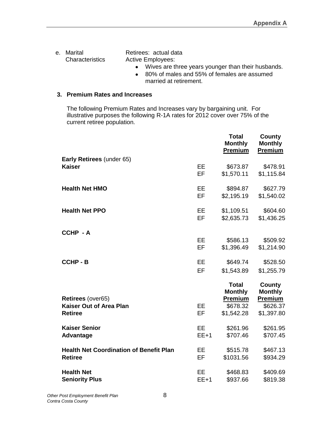e. Marital **Retirees:** actual data Characteristics Active Employees:

- Wives are three years younger than their husbands.
- 80% of males and 55% of females are assumed married at retirement.

#### **3. Premium Rates and Increases**

The following Premium Rates and Increases vary by bargaining unit. For illustrative purposes the following R-1A rates for 2012 cover over 75% of the current retiree population.

|                                                     |           | <b>Total</b><br><b>Monthly</b><br><b>Premium</b> | <b>County</b><br><b>Monthly</b><br><b>Premium</b> |
|-----------------------------------------------------|-----------|--------------------------------------------------|---------------------------------------------------|
| <b>Early Retirees (under 65)</b>                    |           |                                                  |                                                   |
| <b>Kaiser</b>                                       | <b>EE</b> | \$673.87                                         | \$478.91                                          |
|                                                     | <b>EF</b> | \$1,570.11                                       | \$1,115.84                                        |
| <b>Health Net HMO</b>                               | <b>EE</b> | \$894.87                                         | \$627.79                                          |
|                                                     | EF        | \$2,195.19                                       | \$1,540.02                                        |
| <b>Health Net PPO</b>                               | <b>EE</b> | \$1,109.51                                       | \$604.60                                          |
|                                                     | EF        | \$2,635.73                                       | \$1,436.25                                        |
| CCHP-A                                              |           |                                                  |                                                   |
|                                                     | <b>EE</b> | \$586.13                                         | \$509.92                                          |
|                                                     | <b>EF</b> | \$1,396.49                                       | \$1,214.90                                        |
| <b>CCHP - B</b>                                     | EE        | \$649.74                                         | \$528.50                                          |
|                                                     | EF        | \$1,543.89                                       | \$1,255.79                                        |
|                                                     |           | <b>Total</b><br><b>Monthly</b>                   | County<br><b>Monthly</b>                          |
| Retirees (over65)<br><b>Kaiser Out of Area Plan</b> | <b>EE</b> | <b>Premium</b><br>\$678.32                       | <b>Premium</b><br>\$626.37                        |
| <b>Retiree</b>                                      | EF        | \$1,542.28                                       | \$1,397.80                                        |
|                                                     |           |                                                  |                                                   |
| <b>Kaiser Senior</b>                                | <b>EE</b> | \$261.96                                         | \$261.95                                          |
| Advantage                                           | $EE+1$    | \$707.46                                         | \$707.45                                          |
| <b>Health Net Coordination of Benefit Plan</b>      | EE        | \$515.78                                         | \$467.13                                          |
| <b>Retiree</b>                                      | EF        | \$1031.56                                        | \$934.29                                          |
| <b>Health Net</b>                                   | <b>EE</b> | \$468.83                                         | \$409.69                                          |
| <b>Seniority Plus</b>                               | $EE+1$    | \$937.66                                         | \$819.38                                          |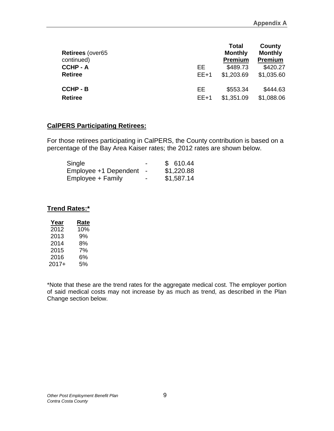| <b>Retirees (over65)</b><br>continued) |           | <b>Total</b><br><b>Monthly</b><br><b>Premium</b> | County<br><b>Monthly</b><br><b>Premium</b> |
|----------------------------------------|-----------|--------------------------------------------------|--------------------------------------------|
| <b>CCHP - A</b>                        | EE        | \$489.73                                         | \$420.27                                   |
| <b>Retiree</b>                         | $EE+1$    | \$1,203.69                                       | \$1,035.60                                 |
| <b>CCHP - B</b>                        | <b>EE</b> | \$553.34                                         | \$444.63                                   |
| <b>Retiree</b>                         | $EE+1$    | \$1,351.09                                       | \$1,088.06                                 |

#### **CalPERS Participating Retirees:**

For those retirees participating in CalPERS, the County contribution is based on a percentage of the Bay Area Kaiser rates; the 2012 rates are shown below.

| Single                |                | \$610.44   |
|-----------------------|----------------|------------|
| Employee +1 Dependent | $\blacksquare$ | \$1,220.88 |
| Employee + Family     | -              | \$1,587.14 |

### **Trend Rates:\***

| Year  | Rate |
|-------|------|
| 2012  | 10%  |
| 2013  | 9%   |
| 2014  | 8%   |
| 2015  | 7%   |
| 2016  | 6%   |
| 2017+ | 5%   |

\*Note that these are the trend rates for the aggregate medical cost. The employer portion of said medical costs may not increase by as much as trend, as described in the Plan Change section below.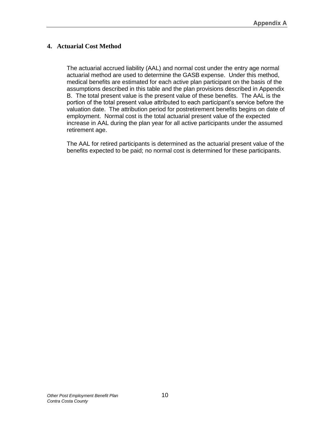#### **4. Actuarial Cost Method**

The actuarial accrued liability (AAL) and normal cost under the entry age normal actuarial method are used to determine the GASB expense. Under this method, medical benefits are estimated for each active plan participant on the basis of the assumptions described in this table and the plan provisions described in Appendix B. The total present value is the present value of these benefits. The AAL is the portion of the total present value attributed to each participant's service before the valuation date. The attribution period for postretirement benefits begins on date of employment. Normal cost is the total actuarial present value of the expected increase in AAL during the plan year for all active participants under the assumed retirement age.

The AAL for retired participants is determined as the actuarial present value of the benefits expected to be paid; no normal cost is determined for these participants.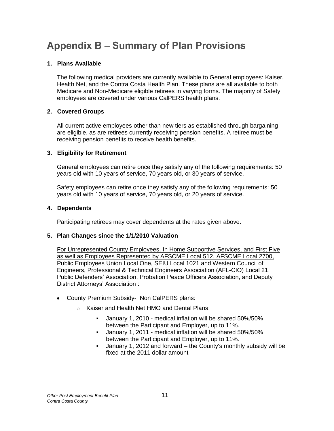# **Appendix B – Summary of Plan Provisions**

#### **1. Plans Available**

The following medical providers are currently available to General employees: Kaiser, Health Net, and the Contra Costa Health Plan. These plans are all available to both Medicare and Non-Medicare eligible retirees in varying forms. The majority of Safety employees are covered under various CalPERS health plans.

#### **2. Covered Groups**

All current active employees other than new tiers as established through bargaining are eligible, as are retirees currently receiving pension benefits. A retiree must be receiving pension benefits to receive health benefits.

#### **3. Eligibility for Retirement**

General employees can retire once they satisfy any of the following requirements: 50 years old with 10 years of service, 70 years old, or 30 years of service.

Safety employees can retire once they satisfy any of the following requirements: 50 years old with 10 years of service, 70 years old, or 20 years of service.

#### **4. Dependents**

Participating retirees may cover dependents at the rates given above.

#### **5. Plan Changes since the 1/1/2010 Valuation**

For Unrepresented County Employees, In Home Supportive Services, and First Five as well as Employees Represented by AFSCME Local 512, AFSCME Local 2700, Public Employees Union Local One, SEIU Local 1021 and Western Council of Engineers, Professional & Technical Engineers Association (AFL-CIO) Local 21, Public Defenders' Association, Probation Peace Officers Association, and Deputy District Attorneys' Association :

- County Premium Subsidy- Non CalPERS plans:
	- o Kaiser and Health Net HMO and Dental Plans:
		- January 1, 2010 medical inflation will be shared 50%/50% between the Participant and Employer, up to 11%.
		- January 1, 2011 medical inflation will be shared 50%/50% between the Participant and Employer, up to 11%.
		- January 1, 2012 and forward the County's monthly subsidy will be fixed at the 2011 dollar amount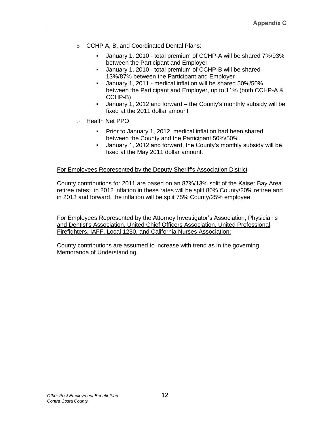- o CCHP A, B, and Coordinated Dental Plans:
	- January 1, 2010 total premium of CCHP-A will be shared 7%/93% between the Participant and Employer
	- January 1, 2010 total premium of CCHP-B will be shared 13%/87% between the Participant and Employer
	- January 1, 2011 medical inflation will be shared 50%/50% between the Participant and Employer, up to 11% (both CCHP-A & CCHP-B)
	- January 1, 2012 and forward the County's monthly subsidy will be fixed at the 2011 dollar amount
- o Health Net PPO
	- **Prior to January 1, 2012, medical inflation had been shared** between the County and the Participant 50%/50%.
	- January 1, 2012 and forward, the County's monthly subsidy will be fixed at the May 2011 dollar amount.

#### For Employees Represented by the Deputy Sheriff's Association District

County contributions for 2011 are based on an 87%/13% split of the Kaiser Bay Area retiree rates; in 2012 inflation in these rates will be split 80% County/20% retiree and in 2013 and forward, the inflation will be split 75% County/25% employee.

For Employees Represented by the Attorney Investigator's Association, Physician's and Dentist's Association, United Chief Officers Association, United Professional Firefighters, IAFF, Local 1230, and California Nurses Association:

County contributions are assumed to increase with trend as in the governing Memoranda of Understanding.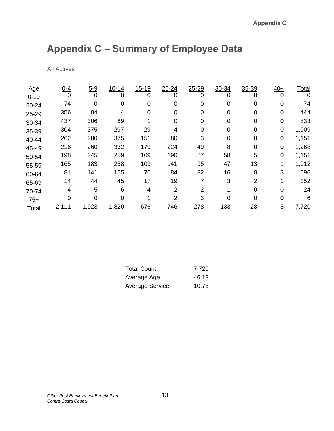# Appendix C - Summary of Employee Data

All Actives

| Age      | $0 - 4$        | $5 - 9$  | $10 - 14$      | $15 - 19$ | $20 - 24$      | $25 - 29$ | 30-34    | 35-39    | $40+$          | Total           |
|----------|----------------|----------|----------------|-----------|----------------|-----------|----------|----------|----------------|-----------------|
| $0 - 19$ | 0              | 0        | 0              | 0         | O              | 0         | 0        | 0        | $\Omega$       | 0               |
| 20-24    | 74             | 0        |                | 0         | 0              | 0         | 0        | 0        | 0              | 74              |
| 25-29    | 356            | 84       | 4              | 0         | 0              | 0         | 0        | 0        | 0              | 444             |
| 30-34    | 437            | 306      | 89             |           | 0              | 0         | 0        | 0        | 0              | 833             |
| 35-39    | 304            | 375      | 297            | 29        | 4              | 0         | 0        | 0        | 0              | 1,009           |
| 40-44    | 262            | 280      | 375            | 151       | 80             | 3         | 0        | 0        | 0              | 1,151           |
| 45-49    | 216            | 260      | 332            | 179       | 224            | 49        | 8        | 0        | 0              | 1,268           |
| 50-54    | 198            | 245      | 259            | 109       | 190            | 87        | 58       | 5        | 0              | 1,151           |
| 55-59    | 165            | 183      | 258            | 109       | 141            | 95        | 47       | 13       |                | 1,012           |
| 60-64    | 81             | 141      | 155            | 76        | 84             | 32        | 16       | 8        | 3              | 596             |
| 65-69    | 14             | 44       | 45             | 17        | 19             |           | 3        | 2        |                | 152             |
| 70-74    | 4              | 5        | 6              | 4         | 2              | 2         |          | 0        | $\Omega$       | 24              |
| $75+$    | $\overline{0}$ | <u>0</u> | $\overline{0}$ |           | $\overline{2}$ | <u>3</u>  | <u>0</u> | <u>0</u> | $\overline{0}$ | $\underline{6}$ |
| Total    | 2,111          | 1,923    | 1,820          | 676       | 746            | 278       | 133      | 28       | 5              | 7,720           |

| <b>Total Count</b>     | 7,720 |
|------------------------|-------|
| Average Age            | 46.13 |
| <b>Average Service</b> | 10.78 |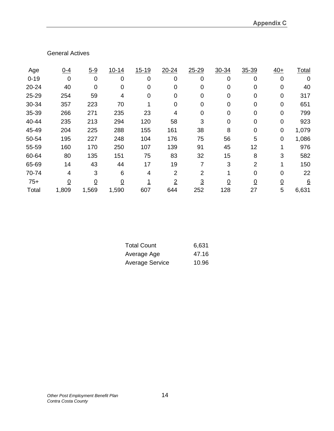#### General Actives

| Age      | $0 - 4$        | $5 - 9$     | $10 - 14$      | $15 - 19$ | 20-24    | 25-29          | 30-34 | 35-39 | $40+$    | Total           |
|----------|----------------|-------------|----------------|-----------|----------|----------------|-------|-------|----------|-----------------|
| $0 - 19$ | 0              | $\mathbf 0$ | 0              | 0         | 0        | 0              | 0     | 0     | 0        | 0               |
| 20-24    | 40             | 0           | 0              | 0         | 0        | 0              | O     | 0     | $\Omega$ | 40              |
| 25-29    | 254            | 59          | 4              | 0         | 0        | 0              | 0     | 0     | 0        | 317             |
| 30-34    | 357            | 223         | 70             |           | 0        | 0              | O     | 0     | $\Omega$ | 651             |
| 35-39    | 266            | 271         | 235            | 23        | 4        | 0              | 0     | 0     | $\Omega$ | 799             |
| 40-44    | 235            | 213         | 294            | 120       | 58       | 3              | 0     | 0     | $\Omega$ | 923             |
| 45-49    | 204            | 225         | 288            | 155       | 161      | 38             | 8     | 0     | 0        | 1,079           |
| 50-54    | 195            | 227         | 248            | 104       | 176      | 75             | 56    | 5     | $\Omega$ | 1,086           |
| 55-59    | 160            | 170         | 250            | 107       | 139      | 91             | 45    | 12    |          | 976             |
| 60-64    | 80             | 135         | 151            | 75        | 83       | 32             | 15    | 8     | 3        | 582             |
| 65-69    | 14             | 43          | 44             | 17        | 19       |                | 3     | 2     |          | 150             |
| 70-74    | 4              | 3           | 6              | 4         | 2        | 2              |       | 0     | O        | 22              |
| $75+$    | $\overline{0}$ | 0           | $\overline{0}$ |           | <u>2</u> | $\overline{3}$ | 0     | 0     | 0        | $6\overline{6}$ |
| Total    | 1,809          | 1,569       | 1,590          | 607       | 644      | 252            | 128   | 27    | 5        | 6,631           |

| Total Count     | 6,631 |
|-----------------|-------|
| Average Age     | 47.16 |
| Average Service | 10.96 |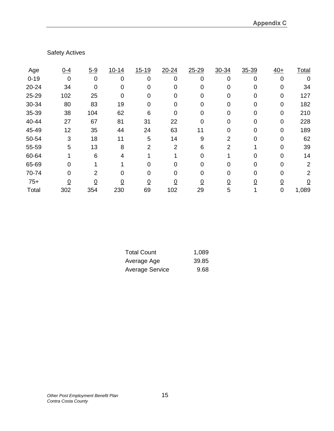### Safety Actives

| Age      | $0 - 4$  | $5 - 9$     | $10 - 14$ | $15 - 19$ | $20 - 24$ | $25 - 29$ | 30-34 | 35-39 | $40+$ | Total |
|----------|----------|-------------|-----------|-----------|-----------|-----------|-------|-------|-------|-------|
| $0 - 19$ | 0        | $\mathbf 0$ | 0         | 0         | 0         | 0         | 0     | 0     | 0     | 0     |
| 20-24    | 34       |             |           |           | O         |           |       |       |       | 34    |
| 25-29    | 102      | 25          | 0         | 0         | 0         |           |       |       | 0     | 127   |
| 30-34    | 80       | 83          | 19        |           | O         |           |       |       |       | 182   |
| 35-39    | 38       | 104         | 62        | 6         | 0         |           |       |       | 0     | 210   |
| 40-44    | 27       | 67          | 81        | 31        | 22        |           |       |       |       | 228   |
| 45-49    | 12       | 35          | 44        | 24        | 63        | 11        |       |       |       | 189   |
| 50-54    | 3        | 18          | 11        | 5         | 14        | 9         | 2     |       |       | 62    |
| 55-59    | 5        | 13          | 8         | 2         | 2         | 6         | 2     |       |       | 39    |
| 60-64    |          | 6           |           |           |           |           |       |       |       | 14    |
| 65-69    |          |             |           |           |           |           |       |       |       | 2     |
| 70-74    |          |             |           |           |           |           |       |       |       | 2     |
| $75+$    | <u>0</u> |             | 0         |           | <u>0</u>  |           | 0     |       |       |       |
| Total    | 302      | 354         | 230       | 69        | 102       | 29        | 5     |       |       | 1,089 |

| 1,089 |
|-------|
| 39.85 |
| 9.68  |
|       |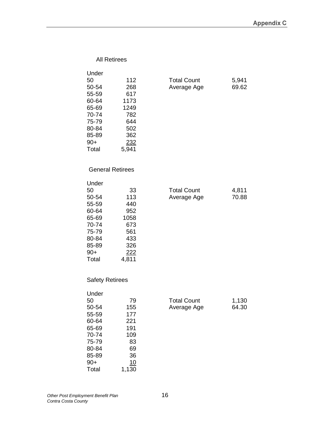| <b>All Retirees</b>                                                                                   |                                                                               |                                   |                |
|-------------------------------------------------------------------------------------------------------|-------------------------------------------------------------------------------|-----------------------------------|----------------|
| Under<br>50<br>50-54<br>55-59<br>60-64<br>65-69<br>70-74<br>75-79<br>80-84<br>85-89<br>$90+$<br>Total | 112<br>268<br>617<br>1173<br>1249<br>782<br>644<br>502<br>362<br>232<br>5,941 | <b>Total Count</b><br>Average Age | 5,941<br>69.62 |
| <b>General Retirees</b>                                                                               |                                                                               |                                   |                |
| Under<br>50<br>50-54<br>55-59<br>60-64<br>65-69<br>70-74<br>75-79<br>80-84<br>85-89<br>$90+$<br>Total | 33<br>113<br>440<br>952<br>1058<br>673<br>561<br>433<br>326<br>222<br>4,811   | <b>Total Count</b><br>Average Age | 4,811<br>70.88 |
| <b>Safety Retirees</b>                                                                                |                                                                               |                                   |                |
| Under<br>50<br>50-54<br>55-59<br>60-64<br>65-69<br>70-74<br>75-79<br>80-84                            | 79<br>155<br>177<br>221<br>191<br>109<br>83<br>69                             | <b>Total Count</b><br>Average Age | 1,130<br>64.30 |

85-89 36<br>90+ 10 90+ 10 Total 1,130